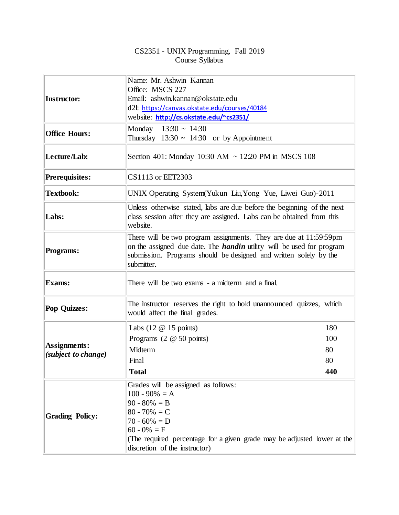## CS2351 - UNIX Programming, Fall 2019 Course Syllabus

|                                     | Name: Mr. Ashwin Kannan<br>Office: MSCS 227                                                                                                                                                                                          |     |  |  |
|-------------------------------------|--------------------------------------------------------------------------------------------------------------------------------------------------------------------------------------------------------------------------------------|-----|--|--|
| Instructor:                         | Email: ashwin.kannan@okstate.edu                                                                                                                                                                                                     |     |  |  |
|                                     | d2l: https://canvas.okstate.edu/courses/40184                                                                                                                                                                                        |     |  |  |
|                                     | website: http://cs.okstate.edu/~cs2351/                                                                                                                                                                                              |     |  |  |
|                                     | Monday $13:30 \sim 14:30$                                                                                                                                                                                                            |     |  |  |
| <b>Office Hours:</b>                | Thursday $13:30 \sim 14:30$ or by Appointment                                                                                                                                                                                        |     |  |  |
| Lecture/Lab:                        | Section 401: Monday 10:30 AM ~ 12:20 PM in MSCS 108                                                                                                                                                                                  |     |  |  |
| Prerequisites:                      | CS1113 or EET2303                                                                                                                                                                                                                    |     |  |  |
| <b>Textbook:</b>                    | UNIX Operating System (Yukun Liu, Yong Yue, Liwei Guo)-2011                                                                                                                                                                          |     |  |  |
| Labs:                               | Unless otherwise stated, labs are due before the beginning of the next<br>class session after they are assigned. Labs can be obtained from this<br>website.                                                                          |     |  |  |
| Programs:                           | There will be two program assignments. They are due at 11:59:59pm<br>on the assigned due date. The <i>handin</i> utility will be used for program<br>submission. Programs should be designed and written solely by the<br>submitter. |     |  |  |
| <b>Exams:</b>                       | There will be two exams - a midterm and a final.                                                                                                                                                                                     |     |  |  |
| Pop Quizzes:                        | The instructor reserves the right to hold unannounced quizzes, which<br>would affect the final grades.                                                                                                                               |     |  |  |
| Assignments:<br>(subject to change) | Labs $(12 \t@ 15 \tpoints)$                                                                                                                                                                                                          | 180 |  |  |
|                                     | Programs $(2 \t@ 50 \tpoints)$                                                                                                                                                                                                       | 100 |  |  |
|                                     | Midterm                                                                                                                                                                                                                              | 80  |  |  |
|                                     | Final                                                                                                                                                                                                                                | 80  |  |  |
|                                     | <b>Total</b>                                                                                                                                                                                                                         | 440 |  |  |
| <b>Grading Policy:</b>              | Grades will be assigned as follows:                                                                                                                                                                                                  |     |  |  |
|                                     | $100 - 90\% = A$                                                                                                                                                                                                                     |     |  |  |
|                                     | $90 - 80\% = B$<br>$80 - 70\% = C$                                                                                                                                                                                                   |     |  |  |
|                                     | $70 - 60\% = D$                                                                                                                                                                                                                      |     |  |  |
|                                     | $60 - 0\% = F$                                                                                                                                                                                                                       |     |  |  |
|                                     | (The required percentage for a given grade may be adjusted lower at the                                                                                                                                                              |     |  |  |
|                                     | discretion of the instructor)                                                                                                                                                                                                        |     |  |  |